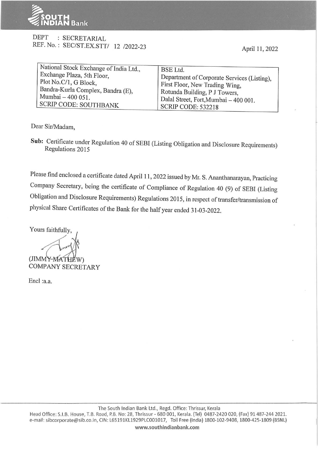

## DEPT : SECRETARIAL REF. No.: SEC/ST.EX.STT/ 12 /2022-23

April 11, 2022

| National Stock Exchange of India Ltd.,<br>Exchange Plaza, 5th Floor,<br>Plot No.C/1, G Block,<br>Bandra-Kurla Complex, Bandra (E), | BSE Ltd.<br>Department of Corporate Services (Listing),<br>First Floor, New Trading Wing,<br>Rotunda Building, P J Towers, |  |
|------------------------------------------------------------------------------------------------------------------------------------|----------------------------------------------------------------------------------------------------------------------------|--|
| Mumbai - 400 051.                                                                                                                  | Dalal Street, Fort, Mumbai - 400 001.                                                                                      |  |
| SCRIP CODE: SOUTHBANK                                                                                                              | SCRIP CODE: 532218                                                                                                         |  |

Dear Sir/Madam,

**Sub:** Certificate under Regulation 40 of SEBI (Listing Obligation and Disclosure Requirements) Regulations 2015

Please find enclosed a certificate dated April 11, 2022 issued by Mr. S. Ananthanarayan, Practicing Company Secretary, being the certificate of Compliance of Regulation 40 (9) of SEBI (Listing Obligation and Disclosure Requirements) Regulations 2015, in respect of transfer/transmission of physical Share Certificates of the Bank for the half year ended 31-03-2022.

Yours faithfully, (JIMMY-MATHEW) COMPANY SECRETARY

Encl :a.a.